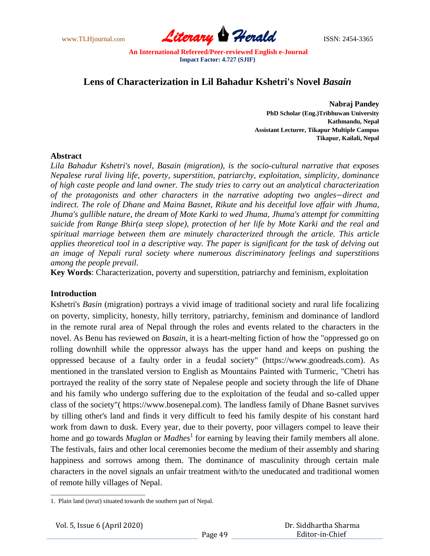www.TLHjournal.com **Literary Herald Herald** ISSN: 2454-3365

# **Lens of Characterization in Lil Bahadur Kshetri's Novel** *Basain*

**Nabraj Pandey PhD Scholar (Eng.)Tribhuwan University Kathmandu, Nepal Assistant Lecturer, Tikapur Multiple Campus Tikapur, Kailali, Nepal**

## **Abstract**

*Lila Bahadur Kshetri's novel, Basain (migration), is the socio-cultural narrative that exposes Nepalese rural living life, poverty, superstition, patriarchy, exploitation, simplicity, dominance of high caste people and land owner. The study tries to carry out an analytical characterization of the protagonists and other characters in the narrative adopting two angles direct and indirect. The role of Dhane and Maina Basnet, Rikute and his deceitful love affair with Jhuma, Jhuma's gullible nature, the dream of Mote Karki to wed Jhuma, Jhuma's attempt for committing suicide from Range Bhir(a steep slope), protection of her life by Mote Karki and the real and spiritual marriage between them are minutely characterized through the article. This article applies theoretical tool in a descriptive way. The paper is significant for the task of delving out an image of Nepali rural society where numerous discriminatory feelings and superstitions among the people prevail.*

**Key Words**: Characterization, poverty and superstition, patriarchy and feminism, exploitation

# **Introduction**

Kshetri's *Basin* (migration) portrays a vivid image of traditional society and rural life focalizing on poverty, simplicity, honesty, hilly territory, patriarchy, feminism and dominance of landlord in the remote rural area of Nepal through the roles and events related to the characters in the novel. As Benu has reviewed on *Basain*, it is a heart-melting fiction of how the "oppressed go on rolling downhill while the oppressor always has the upper hand and keeps on pushing the oppressed because of a faulty order in a feudal society" (https://www.goodreads.com). As mentioned in the translated version to English as Mountains Painted with Turmeric, "Chetri has portrayed the reality of the sorry state of Nepalese people and society through the life of Dhane and his family who undergo suffering due to the exploitation of the feudal and so-called upper class of the society"( https://www.bosenepal.com). The landless family of Dhane Basnet survives by tilling other's land and finds it very difficult to feed his family despite of his constant hard work from dawn to dusk. Every year, due to their poverty, poor villagers compel to leave their home and go towards *Muglan* or *Madhes*<sup>1</sup> for earning by leaving their family members all alone. The festivals, fairs and other local ceremonies become the medium of their assembly and sharing happiness and sorrows among them. The dominance of masculinity through certain male characters in the novel signals an unfair treatment with/to the uneducated and traditional women of remote hilly villages of Nepal.

\_\_\_\_\_\_\_\_\_\_\_\_\_\_\_\_\_\_\_\_\_\_\_\_\_\_\_\_\_\_

<sup>1.</sup> Plain land (*terai*) situated towards the southern part of Nepal.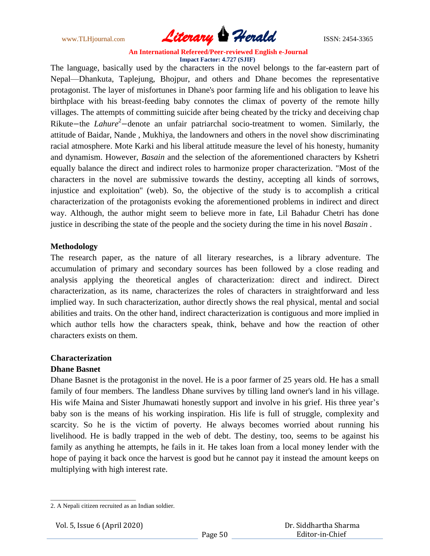

The language, basically used by the characters in the novel belongs to the far-eastern part of Nepal—Dhankuta, Taplejung, Bhojpur, and others and Dhane becomes the representative protagonist. The layer of misfortunes in Dhane's poor farming life and his obligation to leave his birthplace with his breast-feeding baby connotes the climax of poverty of the remote hilly villages. The attempts of committing suicide after being cheated by the tricky and deceiving chap Rikute-the *Lahure*<sup>2</sup>-denote an unfair patriarchal socio-treatment to women. Similarly, the attitude of Baidar, Nande , Mukhiya, the landowners and others in the novel show discriminating racial atmosphere. Mote Karki and his liberal attitude measure the level of his honesty, humanity and dynamism. However, *Basain* and the selection of the aforementioned characters by Kshetri equally balance the direct and indirect roles to harmonize proper characterization. "Most of the characters in the novel are submissive towards the destiny, accepting all kinds of sorrows, injustice and exploitation'' (web). So, the objective of the study is to accomplish a critical characterization of the protagonists evoking the aforementioned problems in indirect and direct way. Although, the author might seem to believe more in fate, Lil Bahadur Chetri has done justice in describing the state of the people and the society during the time in his novel *Basain* .

## **Methodology**

The research paper, as the nature of all literary researches, is a library adventure. The accumulation of primary and secondary sources has been followed by a close reading and analysis applying the theoretical angles of characterization: direct and indirect. Direct characterization, as its name, characterizes the roles of characters in straightforward and less implied way. In such characterization, author directly shows the real physical, mental and social abilities and traits. On the other hand, indirect characterization is contiguous and more implied in which author tells how the characters speak, think, behave and how the reaction of other characters exists on them.

# **Characterization**

## **Dhane Basnet**

Dhane Basnet is the protagonist in the novel. He is a poor farmer of 25 years old. He has a small family of four members. The landless Dhane survives by tilling land owner's land in his village. His wife Maina and Sister Jhumawati honestly support and involve in his grief. His three year's baby son is the means of his working inspiration. His life is full of struggle, complexity and scarcity. So he is the victim of poverty. He always becomes worried about running his livelihood. He is badly trapped in the web of debt. The destiny, too, seems to be against his family as anything he attempts, he fails in it. He takes loan from a local money lender with the hope of paying it back once the harvest is good but he cannot pay it instead the amount keeps on multiplying with high interest rate.

\_\_\_\_\_\_\_\_\_\_\_\_\_\_\_\_\_\_\_\_\_\_\_\_\_\_\_

<sup>2.</sup> A Nepali citizen recruited as an Indian soldier.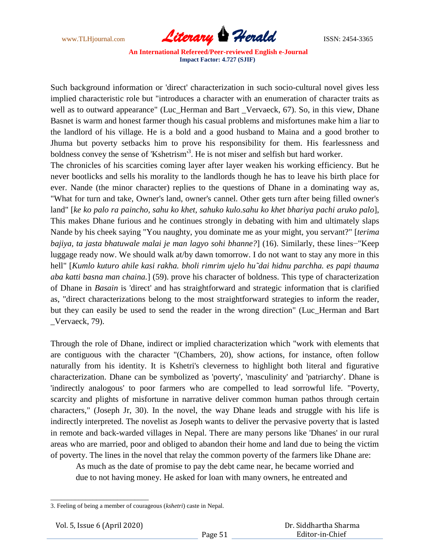

Such background information or 'direct' characterization in such socio-cultural novel gives less implied characteristic role but "introduces a character with an enumeration of character traits as well as to outward appearance" (Luc\_Herman and Bart \_Vervaeck, 67). So, in this view, Dhane Basnet is warm and honest farmer though his casual problems and misfortunes make him a liar to the landlord of his village. He is a bold and a good husband to Maina and a good brother to Jhuma but poverty setbacks him to prove his responsibility for them. His fearlessness and boldness convey the sense of 'Kshetrism<sup>3</sup>. He is not miser and selfish but hard worker.

The chronicles of his scarcities coming layer after layer weaken his working efficiency. But he never bootlicks and sells his morality to the landlords though he has to leave his birth place for ever. Nande (the minor character) replies to the questions of Dhane in a dominating way as, "What for turn and take, Owner's land, owner's cannel. Other gets turn after being filled owner's land" [*ke ko palo ra paincho, sahu ko khet, sahuko kulo.sahu ko khet bhariya pachi aruko palo*], This makes Dhane furious and he continues strongly in debating with him and ultimately slaps Nande by his cheek saying "You naughty, you dominate me as your might, you servant?" [*terima bajiya, ta jasta bhatuwale malai je man lagyo sohi bhanne?*] (16). Similarly, these lines−"Keep luggage ready now. We should walk at/by dawn tomorrow. I do not want to stay any more in this hell" [*Kumlo kuturo ahile kasi rakha. bholi rimrim ujelo hu˜dai hidnu parchha. es papi thauma aba katti basna man chaina.*] (59). prove his character of boldness. This type of characterization of Dhane in *Basain* is 'direct' and has straightforward and strategic information that is clarified as, "direct characterizations belong to the most straightforward strategies to inform the reader, but they can easily be used to send the reader in the wrong direction" (Luc\_Herman and Bart \_Vervaeck, 79).

Through the role of Dhane, indirect or implied characterization which "work with elements that are contiguous with the character "(Chambers, 20), show actions, for instance, often follow naturally from his identity. It is Kshetri's cleverness to highlight both literal and figurative characterization. Dhane can be symbolized as 'poverty', 'masculinity' and 'patriarchy'. Dhane is 'indirectly analogous' to poor farmers who are compelled to lead sorrowful life. "Poverty, scarcity and plights of misfortune in narrative deliver common human pathos through certain characters," (Joseph Jr, 30). In the novel, the way Dhane leads and struggle with his life is indirectly interpreted. The novelist as Joseph wants to deliver the pervasive poverty that is lasted in remote and back-warded villages in Nepal. There are many persons like 'Dhanes' in our rural areas who are married, poor and obliged to abandon their home and land due to being the victim of poverty. The lines in the novel that relay the common poverty of the farmers like Dhane are:

As much as the date of promise to pay the debt came near, he became worried and due to not having money. He asked for loan with many owners, he entreated and

\_\_\_\_\_\_\_\_\_\_\_\_\_\_\_\_\_\_\_\_\_\_\_\_\_\_\_\_

<sup>3.</sup> Feeling of being a member of courageous (*kshetri*) caste in Nepal.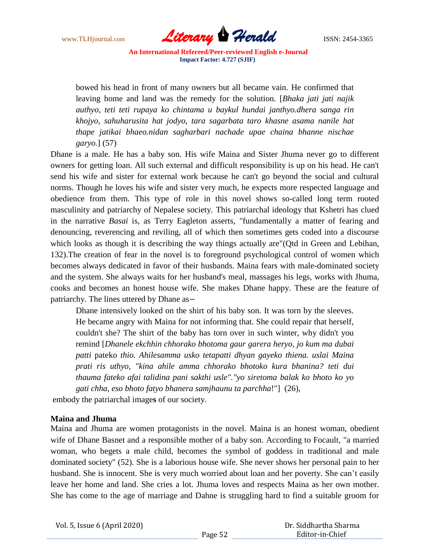

bowed his head in front of many owners but all became vain. He confirmed that leaving home and land was the remedy for the solution. [*Bhaka jati jati najik authyo, teti teti rupaya ko chintama u baykul hundai janthyo.dhera sanga rin khojyo, sahuharusita hat jodyo, tara sagarbata taro khasne asama nanile hat thape jatikai bhaeo.nidan sagharbari nachade upae chaina bhanne nischae garyo.*] (57)

Dhane is a male. He has a baby son. His wife Maina and Sister Jhuma never go to different owners for getting loan. All such external and difficult responsibility is up on his head. He can't send his wife and sister for external work because he can't go beyond the social and cultural norms. Though he loves his wife and sister very much, he expects more respected language and obedience from them. This type of role in this novel shows so-called long term rooted masculinity and patriarchy of Nepalese society. This patriarchal ideology that Kshetri has clued in the narrative *Basai* is, as Terry Eagleton asserts, "fundamentally a matter of fearing and denouncing, reverencing and reviling, all of which then sometimes gets coded into a discourse which looks as though it is describing the way things actually are"(Qtd in Green and Lebihan, 132).The creation of fear in the novel is to foreground psychological control of women which becomes always dedicated in favor of their husbands. Maina fears with male-dominated society and the system. She always waits for her husband's meal, massages his legs, works with Jhuma, cooks and becomes an honest house wife. She makes Dhane happy. These are the feature of patriarchy. The lines uttered by Dhane as

Dhane intensively looked on the shirt of his baby son. It was torn by the sleeves. He became angry with Maina for not informing that. She could repair that herself, couldn't she? The shirt of the baby has torn over in such winter, why didn't you remind [*Dhanele ekchhin chhorako bhotoma gaur garera heryo, jo kum ma dubai patti* pateko *thio. Ahilesamma usko tetapatti dhyan gayeko thiena. uslai Maina prati ris uthyo, "kina ahile amma chhorako bhotoko kura bhanina? teti dui thauma fateko afai talidina pani sakthi usle"."yo siretoma balak ko bhoto ko yo gati chha, eso bhoto fatyo bhanera samjhaunu ta parchha*!"] (26),

embody the patriarchal image**s** of our society.

## **Maina and Jhuma**

Maina and Jhuma are women protagonists in the novel. Maina is an honest woman, obedient wife of Dhane Basnet and a responsible mother of a baby son. According to Focault, "a married woman, who begets a male child, becomes the symbol of goddess in traditional and male dominated society" (52). She is a laborious house wife. She never shows her personal pain to her husband. She is innocent. She is very much worried about loan and her poverty. She can't easily leave her home and land. She cries a lot. Jhuma loves and respects Maina as her own mother. She has come to the age of marriage and Dahne is struggling hard to find a suitable groom for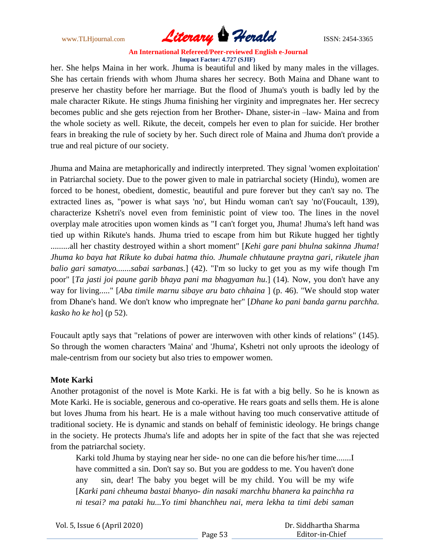

her. She helps Maina in her work. Jhuma is beautiful and liked by many males in the villages. She has certain friends with whom Jhuma shares her secrecy. Both Maina and Dhane want to preserve her chastity before her marriage. But the flood of Jhuma's youth is badly led by the male character Rikute. He stings Jhuma finishing her virginity and impregnates her. Her secrecy becomes public and she gets rejection from her Brother- Dhane, sister-in –law- Maina and from the whole society as well. Rikute, the deceit, compels her even to plan for suicide. Her brother fears in breaking the rule of society by her. Such direct role of Maina and Jhuma don't provide a true and real picture of our society.

Jhuma and Maina are metaphorically and indirectly interpreted. They signal 'women exploitation' in Patriarchal society. Due to the power given to male in patriarchal society (Hindu), women are forced to be honest, obedient, domestic, beautiful and pure forever but they can't say no. The extracted lines as, "power is what says 'no', but Hindu woman can't say 'no'(Foucault, 139), characterize Kshetri's novel even from feministic point of view too. The lines in the novel overplay male atrocities upon women kinds as "I can't forget you, Jhuma! Jhuma's left hand was tied up within Rikute's hands. Jhuma tried to escape from him but Rikute hugged her tightly .........all her chastity destroyed within a short moment" [*Kehi gare pani bhulna sakinna Jhuma! Jhuma ko baya hat Rikute ko dubai hatma thio. Jhumale chhutaune praytna gari, rikutele jhan balio gari samatyo.......sabai sarbanas.*] (42). "I'm so lucky to get you as my wife though I'm poor" [*Ta jasti joi paune garib bhaya pani ma bhagyaman hu.*] (14)*.* Now, you don't have any way for living....." [*Aba timile marnu sibaye aru bato chhaina* ] (p. 46). "We should stop water from Dhane's hand. We don't know who impregnate her" [*Dhane ko pani banda garnu parchha. kasko ho ke ho*] (p 52).

Foucault aptly says that "relations of power are interwoven with other kinds of relations" (145). So through the women characters 'Maina' and 'Jhuma', Kshetri not only uproots the ideology of male-centrism from our society but also tries to empower women.

## **Mote Karki**

Another protagonist of the novel is Mote Karki. He is fat with a big belly. So he is known as Mote Karki. He is sociable, generous and co-operative. He rears goats and sells them. He is alone but loves Jhuma from his heart. He is a male without having too much conservative attitude of traditional society. He is dynamic and stands on behalf of feministic ideology. He brings change in the society. He protects Jhuma's life and adopts her in spite of the fact that she was rejected from the patriarchal society.

Karki told Jhuma by staying near her side- no one can die before his/her time.......I have committed a sin. Don't say so. But you are goddess to me. You haven't done any sin, dear! The baby you beget will be my child. You will be my wife [*Karki pani chheuma bastai bhanyo- din nasaki marchhu bhanera ka painchha ra ni tesai? ma pataki hu...Yo timi bhanchheu nai, mera lekha ta timi debi saman* 

Vol. 5, Issue 6 (April 2020)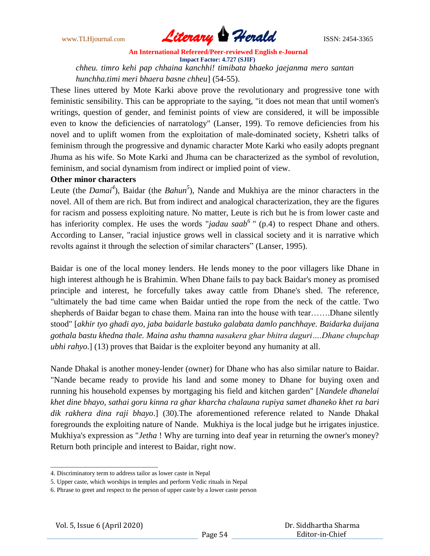

*chheu. timro kehi pap chhaina kanchhi! timibata bhaeko jaejanma mero santan hunchha.timi meri bhaera basne chheu*] (54-55).

These lines uttered by Mote Karki above prove the revolutionary and progressive tone with feministic sensibility. This can be appropriate to the saying, "it does not mean that until women's writings, question of gender, and feminist points of view are considered, it will be impossible even to know the deficiencies of narratology" (Lanser, 199). To remove deficiencies from his novel and to uplift women from the exploitation of male-dominated society, Kshetri talks of feminism through the progressive and dynamic character Mote Karki who easily adopts pregnant Jhuma as his wife. So Mote Karki and Jhuma can be characterized as the symbol of revolution, feminism, and social dynamism from indirect or implied point of view.

# **Other minor characters**

Leute (the *Damai*<sup>4</sup>), Baidar (the *Bahun*<sup>5</sup>), Nande and Mukhiya are the minor characters in the novel. All of them are rich. But from indirect and analogical characterization, they are the figures for racism and possess exploiting nature. No matter, Leute is rich but he is from lower caste and has inferiority complex. He uses the words "*jadau saab*<sup>6</sup>" (p.4) to respect Dhane and others. According to Lanser, "racial injustice grows well in classical society and it is narrative which revolts against it through the selection of similar characters" (Lanser, 1995).

Baidar is one of the local money lenders. He lends money to the poor villagers like Dhane in high interest although he is Brahimin. When Dhane fails to pay back Baidar's money as promised principle and interest, he forcefully takes away cattle from Dhane's shed. The reference, "ultimately the bad time came when Baidar untied the rope from the neck of the cattle. Two shepherds of Baidar began to chase them. Maina ran into the house with tear…….Dhane silently stood" [*akhir tyo ghadi ayo, jaba baidarle bastuko galabata damlo panchhaye. Baidarka duijana gothala bastu khedna thale. Maina ashu thamna nasakera ghar bhitra daguri….Dhane chupchap ubhi rahyo*.] (13) proves that Baidar is the exploiter beyond any humanity at all.

Nande Dhakal is another money-lender (owner) for Dhane who has also similar nature to Baidar. "Nande became ready to provide his land and some money to Dhane for buying oxen and running his household expenses by mortgaging his field and kitchen garden" [*Nandele dhanelai khet dine bhayo, sathai goru kinna ra ghar kharcha chalauna rupiya samet dhaneko khet ra bari dik rakhera dina raji bhayo*.] (30).The aforementioned reference related to Nande Dhakal foregrounds the exploiting nature of Nande. Mukhiya is the local judge but he irrigates injustice. Mukhiya's expression as "*Jetha* ! Why are turning into deaf year in returning the owner's money? Return both principle and interest to Baidar, right now.

\_\_\_\_\_\_\_\_\_\_\_\_\_\_\_\_\_\_\_\_\_\_\_\_\_\_\_\_\_\_\_\_\_\_

<sup>4.</sup> Discriminatory term to address tailor as lower caste in Nepal

<sup>5.</sup> Upper caste, which worships in temples and perform Vedic rituals in Nepal

<sup>6.</sup> Phrase to greet and respect to the person of upper caste by a lower caste person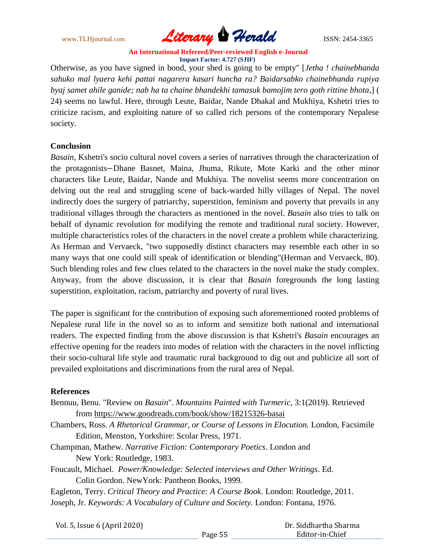

Otherwise, as you have signed in bond, your shed is going to be empty" [*Jetha ! chainebhanda sahuko mal lyaera kehi pattai nagarera kasari huncha ra? Baidarsabko chainebhanda rupiya byaj samet ahile ganide; nab ha ta chaine bhandekhi tamasuk bamojim tero goth rittine bhota*,] ( 24) seems no lawful. Here, through Leute, Baidar, Nande Dhakal and Mukhiya, Kshetri tries to criticize racism, and exploiting nature of so called rich persons of the contemporary Nepalese society.

## **Conclusion**

*Basain,* Kshetri's socio cultural novel covers a series of narratives through the characterization of the protagonists-Dhane Basnet, Maina, Jhuma, Rikute, Mote Karki and the other minor characters like Leute, Baidar, Nande and Mukhiya. The novelist seems more concentration on delving out the real and struggling scene of back-warded hilly villages of Nepal. The novel indirectly does the surgery of patriarchy, superstition, feminism and poverty that prevails in any traditional villages through the characters as mentioned in the novel. *Basain* also tries to talk on behalf of dynamic revolution for modifying the remote and traditional rural society. However, multiple characteristics roles of the characters in the novel create a problem while characterizing. As Herman and Vervaeck, "two supposedly distinct characters may resemble each other in so many ways that one could still speak of identification or blending"(Herman and Vervaeck, 80). Such blending roles and few clues related to the characters in the novel make the study complex. Anyway, from the above discussion, it is clear that *Basain* foregrounds the long lasting superstition, exploitation, racism, patriarchy and poverty of rural lives.

The paper is significant for the contribution of exposing such aforementioned rooted problems of Nepalese rural life in the novel so as to inform and sensitize both national and international readers. The expected finding from the above discussion is that Kshetri's *Basain* encourages an effective opening for the readers into modes of relation with the characters in the novel inflicting their socio-cultural life style and traumatic rural background to dig out and publicize all sort of prevailed exploitations and discriminations from the rural area of Nepal.

## **References**

- Bennuu, Benu. "Review on *Basain*". *Mountains Painted with Turmeric*, 3:1(2019). Retrieved from<https://www.goodreads.com/book/show/18215326-basai>
- Chambers, Ross. *A Rhetorical Grammar, or Course of Lessons in Elocution.* London, Facsimile Edition, Menston, Yorkshire: Scolar Press, 1971.
- Champman, Mathew. *Narrative Fiction: Contemporary Poetics*. London and New York: Routledge, 1983.
- Foucault, Michael. *Power/Knowledge: Selected interviews and Other Writings*. Ed. Colin Gordon. NewYork: Pantheon Books, 1999.
- Eagleton, Terry. *Critical Theory and Practice: A Course Book*. London: Routledge, 2011. Joseph, Jr. *Keywords: A Vocabulary of Culture and Society.* London: Fontana, 1976.

Vol. 5, Issue 6 (April 2020)

 Dr. Siddhartha Sharma Editor-in-Chief